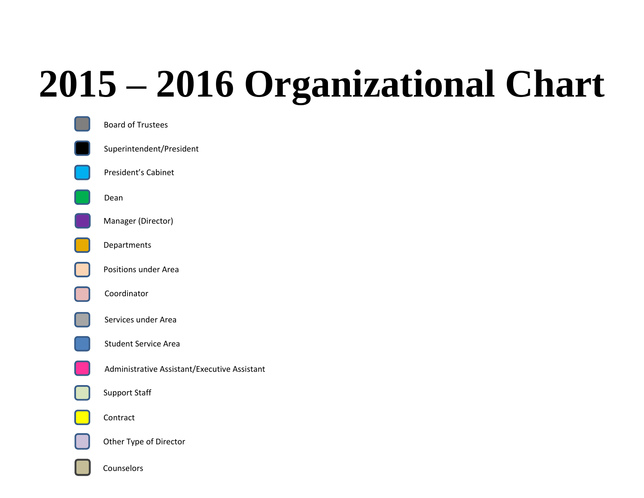## **2015 – 2016 Organizational Chart**



Counselors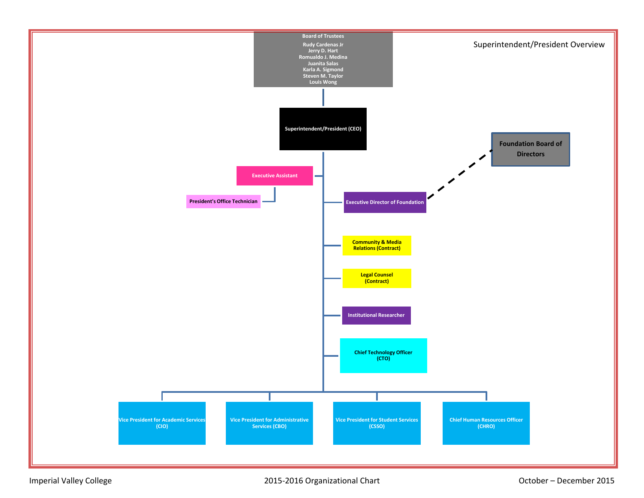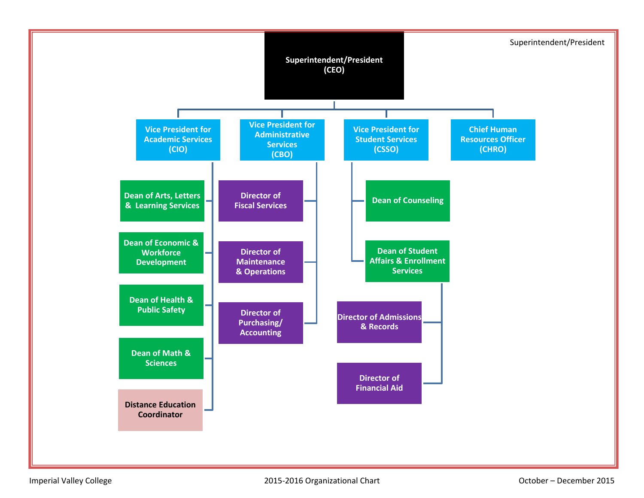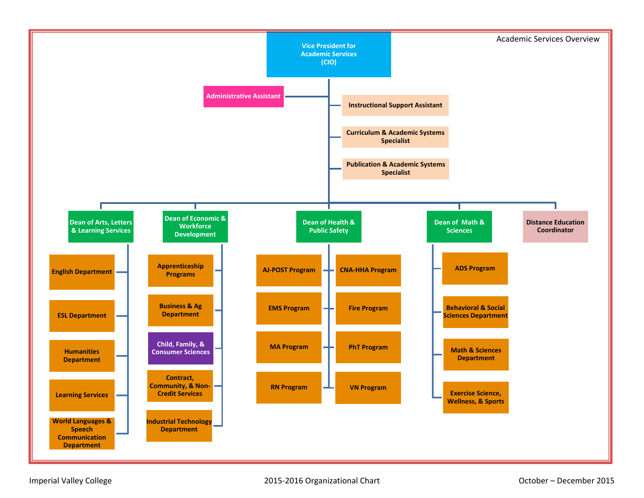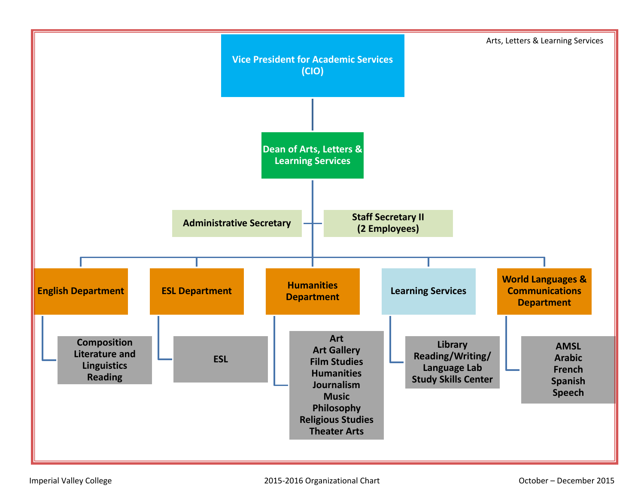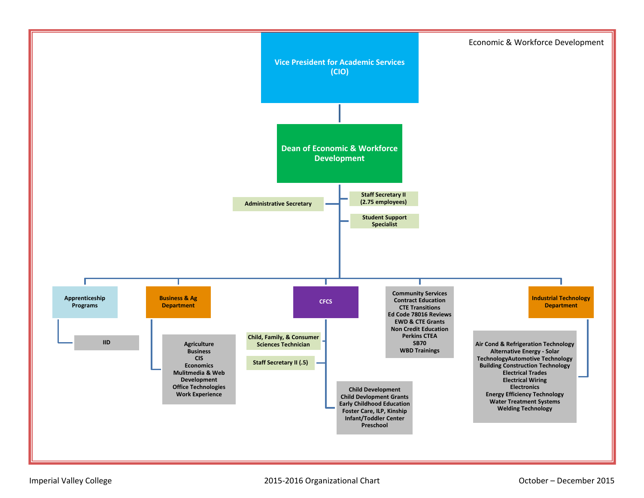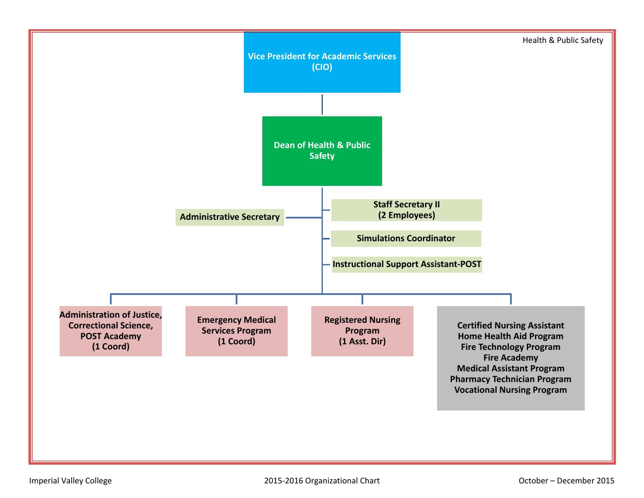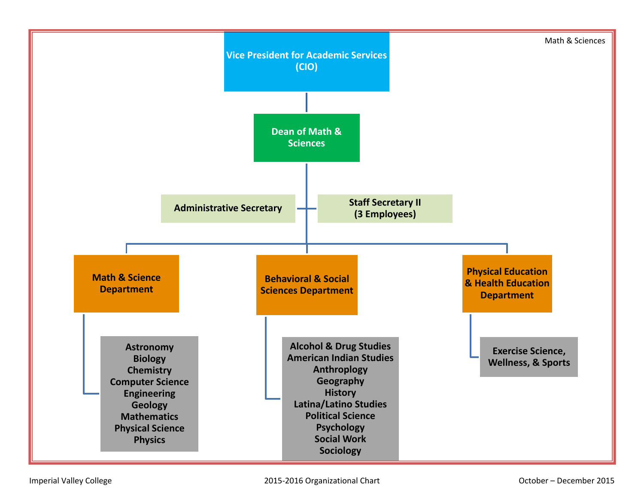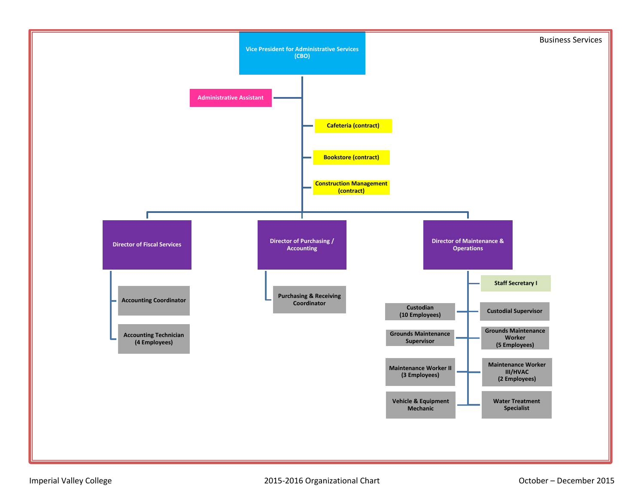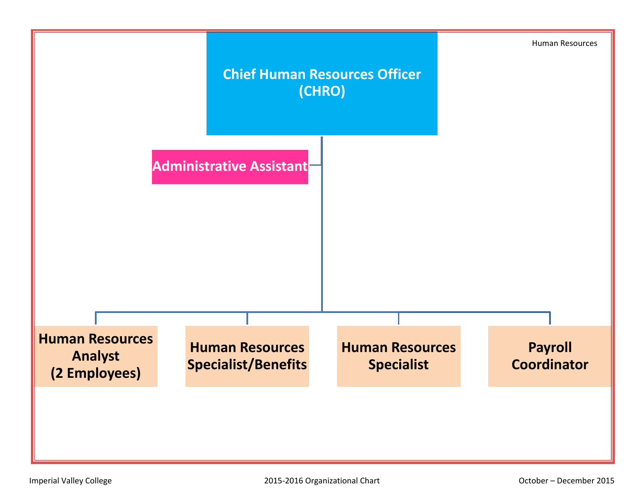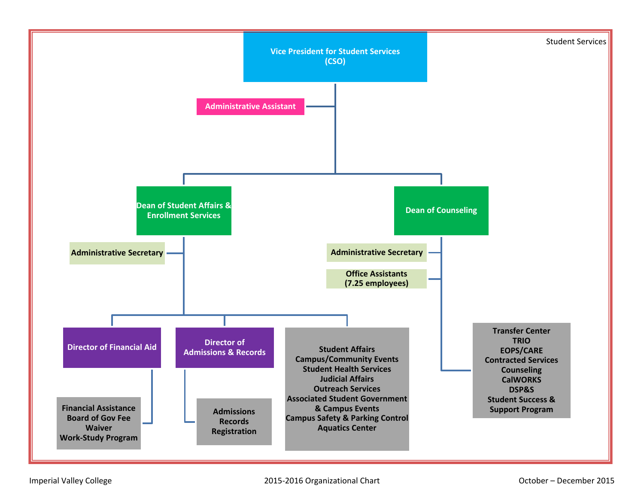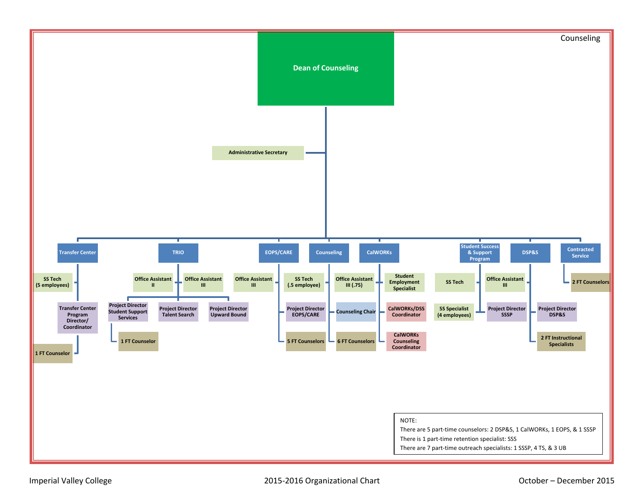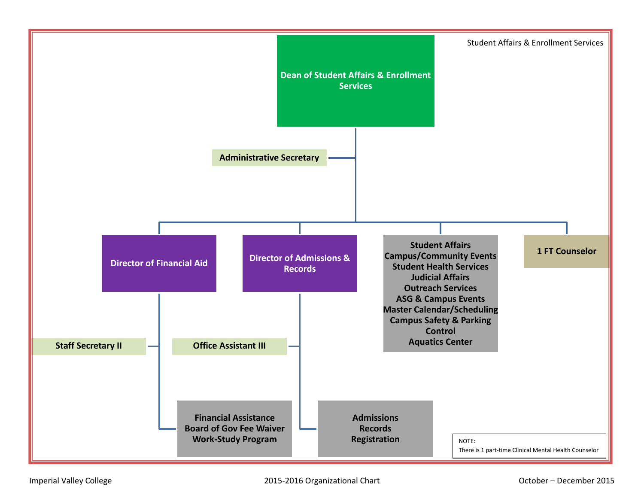